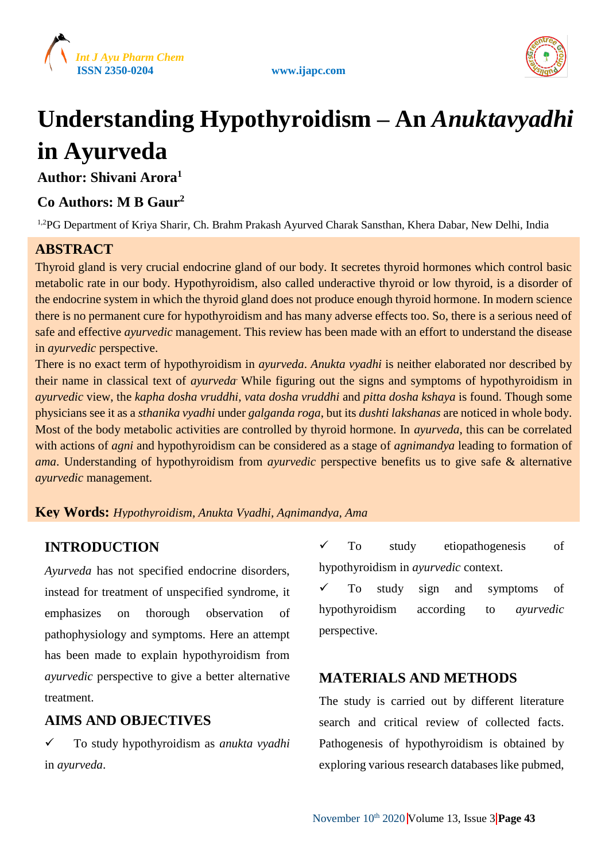



# **Understanding Hypothyroidism – An** *Anuktavyadhi* **in Ayurveda**

**Author: Shivani Arora<sup>1</sup>**

# **Co Authors: M B Gaur<sup>2</sup>**

<sup>1,2</sup>PG Department of Kriya Sharir, Ch. Brahm Prakash Ayurved Charak Sansthan, Khera Dabar, New Delhi, India

# **ABSTRACT**

Thyroid gland is very crucial endocrine gland of our body. It secretes thyroid hormones which control basic metabolic rate in our body. Hypothyroidism, also called underactive thyroid or low thyroid, is a disorder of the endocrine system in which the thyroid gland does not produce enough thyroid hormone. In modern science there is no permanent cure for hypothyroidism and has many adverse effects too. So, there is a serious need of safe and effective *ayurvedic* management. This review has been made with an effort to understand the disease in *ayurvedic* perspective.

There is no exact term of hypothyroidism in *ayurveda*. *Anukta vyadhi* is neither elaborated nor described by their name in classical text of *ayurveda.* While figuring out the signs and symptoms of hypothyroidism in *ayurvedic* view, the *kapha dosha vruddhi*, *vata dosha vruddhi* and *pitta dosha kshaya* is found. Though some physicians see it as a *sthanika vyadhi* under *galganda roga*, but its *dushti lakshanas* are noticed in whole body. Most of the body metabolic activities are controlled by thyroid hormone. In *ayurveda*, this can be correlated with actions of *agni* and hypothyroidism can be considered as a stage of *agnimandya* leading to formation of *ama*. Understanding of hypothyroidism from *ayurvedic* perspective benefits us to give safe & alternative *ayurvedic* management.

### **Key Words:** *Hypothyroidism, Anukta Vyadhi, Agnimandya, Ama*

## **INTRODUCTION**

*Ayurveda* has not specified endocrine disorders, instead for treatment of unspecified syndrome, it emphasizes on thorough observation of pathophysiology and symptoms. Here an attempt has been made to explain hypothyroidism from *ayurvedic* perspective to give a better alternative treatment.

### **AIMS AND OBJECTIVES**

 To study hypothyroidism as *anukta vyadhi* in *ayurveda*.

 $\checkmark$  To study etiopathogenesis of hypothyroidism in *ayurvedic* context.

 To study sign and symptoms of hypothyroidism according to *ayurvedic* perspective.

## **MATERIALS AND METHODS**

The study is carried out by different literature search and critical review of collected facts. Pathogenesis of hypothyroidism is obtained by exploring various research databases like pubmed,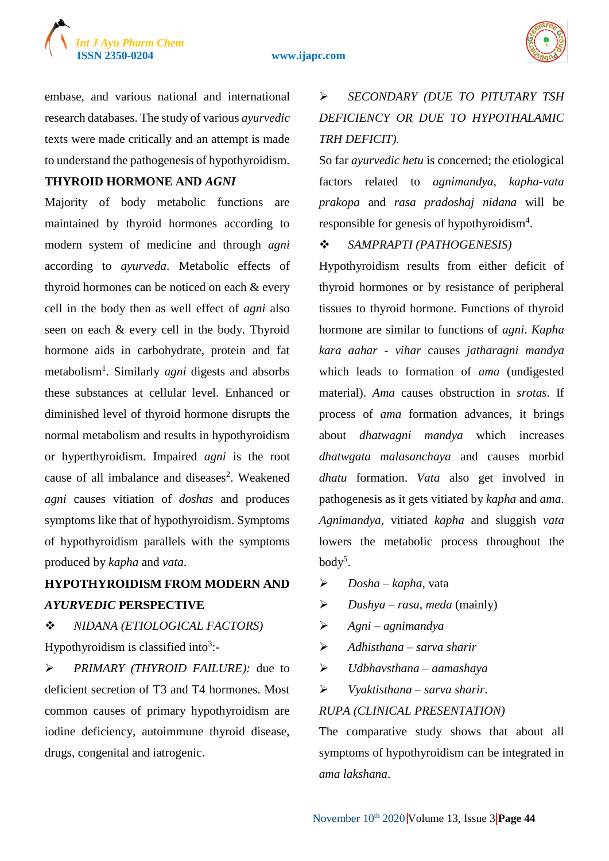### **ISSN 2350-0204 www.ijapc.com**



embase, and various national and international research databases. The study of various *ayurvedic* texts were made critically and an attempt is made to understand the pathogenesis of hypothyroidism.

### **THYROID HORMONE AND** *AGNI*

Majority of body metabolic functions are maintained by thyroid hormones according to modern system of medicine and through *agni* according to *ayurveda*. Metabolic effects of thyroid hormones can be noticed on each & every cell in the body then as well effect of *agni* also seen on each & every cell in the body. Thyroid hormone aids in carbohydrate, protein and fat metabolism<sup>1</sup> . Similarly *agni* digests and absorbs these substances at cellular level. Enhanced or diminished level of thyroid hormone disrupts the normal metabolism and results in hypothyroidism or hyperthyroidism. Impaired *agni* is the root cause of all imbalance and diseases<sup>2</sup>. Weakened *agni* causes vitiation of *doshas* and produces symptoms like that of hypothyroidism. Symptoms of hypothyroidism parallels with the symptoms produced by *kapha* and *vata*.

# **HYPOTHYROIDISM FROM MODERN AND**  *AYURVEDIC* **PERSPECTIVE**

# *NIDANA (ETIOLOGICAL FACTORS)*

Hypothyroidism is classified into<sup>3</sup>:-

 *PRIMARY (THYROID FAILURE):* due to deficient secretion of T3 and T4 hormones. Most common causes of primary hypothyroidism are iodine deficiency, autoimmune thyroid disease, drugs, congenital and iatrogenic.

# *SECONDARY (DUE TO PITUTARY TSH DEFICIENCY OR DUE TO HYPOTHALAMIC TRH DEFICIT).*

So far *ayurvedic hetu* is concerned; the etiological factors related to *agnimandya*, *kapha*-*vata prakopa* and *rasa pradoshaj nidana* will be responsible for genesis of hypothyroidism<sup>4</sup>.

### *SAMPRAPTI (PATHOGENESIS)*

Hypothyroidism results from either deficit of thyroid hormones or by resistance of peripheral tissues to thyroid hormone. Functions of thyroid hormone are similar to functions of *agni*. *Kapha kara aahar* - *vihar* causes *jatharagni mandya* which leads to formation of *ama* (undigested material). *Ama* causes obstruction in *srotas*. If process of *ama* formation advances, it brings about *dhatwagni mandya* which increases *dhatwgata malasanchaya* and causes morbid *dhatu* formation. *Vata* also get involved in pathogenesis as it gets vitiated by *kapha* and *ama*. *Agnimandya*, vitiated *kapha* and sluggish *vata* lowers the metabolic process throughout the  $body<sup>5</sup>$ .

- *Dosha kapha*, vata
- *Dushya rasa*, *meda* (mainly)
- *Agni agnimandya*
- *Adhisthana sarva sharir*
- *Udbhavsthana aamashaya*
- *Vyaktisthana sarva sharir*.

### *RUPA (CLINICAL PRESENTATION)*

The comparative study shows that about all symptoms of hypothyroidism can be integrated in *ama lakshana*.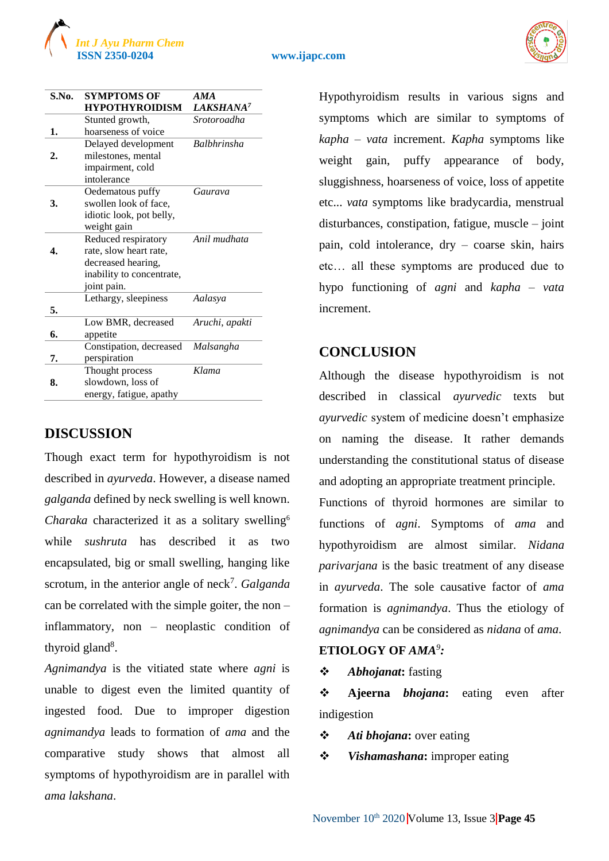

### **ISSN 2350-0204 www.ijapc.com**



| S.No. | <b>SYMPTOMS OF</b>        | AMA                   |
|-------|---------------------------|-----------------------|
|       | <b>HYPOTHYROIDISM</b>     | LAKSHANA <sup>7</sup> |
|       | Stunted growth,           | Srotoroadha           |
| 1.    | hoarseness of voice       |                       |
|       | Delayed development       | <b>Balbhrinsha</b>    |
| 2.    | milestones, mental        |                       |
|       | impairment, cold          |                       |
|       | intolerance               |                       |
|       | Oedematous puffy          | Gaurava               |
| 3.    | swollen look of face,     |                       |
|       | idiotic look, pot belly,  |                       |
|       | weight gain               |                       |
|       | Reduced respiratory       | Anil mudhata          |
| 4.    | rate, slow heart rate,    |                       |
|       | decreased hearing,        |                       |
|       | inability to concentrate, |                       |
|       | joint pain.               |                       |
|       | Lethargy, sleepiness      | Aalasya               |
| 5.    |                           |                       |
|       | Low BMR, decreased        | Aruchi, apakti        |
| 6.    | appetite                  |                       |
|       | Constipation, decreased   | Malsangha             |
| 7.    | perspiration              |                       |
|       | Thought process           | Klama                 |
| 8.    | slowdown, loss of         |                       |
|       | energy, fatigue, apathy   |                       |

### **DISCUSSION**

Though exact term for hypothyroidism is not described in *ayurveda*. However, a disease named *galganda* defined by neck swelling is well known. *Charaka* characterized it as a solitary swelling<sup>6</sup> while *sushruta* has described it as two encapsulated, big or small swelling, hanging like scrotum, in the anterior angle of neck<sup>7</sup>. *Galganda* can be correlated with the simple goiter, the non – inflammatory, non – neoplastic condition of thyroid gland<sup>8</sup>.

*Agnimandya* is the vitiated state where *agni* is unable to digest even the limited quantity of ingested food. Due to improper digestion *agnimandya* leads to formation of *ama* and the comparative study shows that almost all symptoms of hypothyroidism are in parallel with *ama lakshana*.

Hypothyroidism results in various signs and symptoms which are similar to symptoms of *kapha* – *vata* increment. *Kapha* symptoms like weight gain, puffy appearance of body, sluggishness, hoarseness of voice, loss of appetite etc... *vata* symptoms like bradycardia, menstrual disturbances, constipation, fatigue, muscle – joint pain, cold intolerance, dry – coarse skin, hairs etc… all these symptoms are produced due to hypo functioning of *agni* and *kapha* – *vata* increment.

### **CONCLUSION**

Although the disease hypothyroidism is not described in classical *ayurvedic* texts but *ayurvedic* system of medicine doesn't emphasize on naming the disease. It rather demands understanding the constitutional status of disease and adopting an appropriate treatment principle.

Functions of thyroid hormones are similar to functions of *agni*. Symptoms of *ama* and hypothyroidism are almost similar. *Nidana parivarjana* is the basic treatment of any disease in *ayurveda*. The sole causative factor of *ama* formation is *agnimandya*. Thus the etiology of *agnimandya* can be considered as *nidana* of *ama*.

### **ETIOLOGY OF** *AMA<sup>9</sup> :*

*Abhojanat***:** fasting

 **Ajeerna** *bhojana***:** eating even after indigestion

*Ati bhojana***:** over eating

*Vishamashana***:** improper eating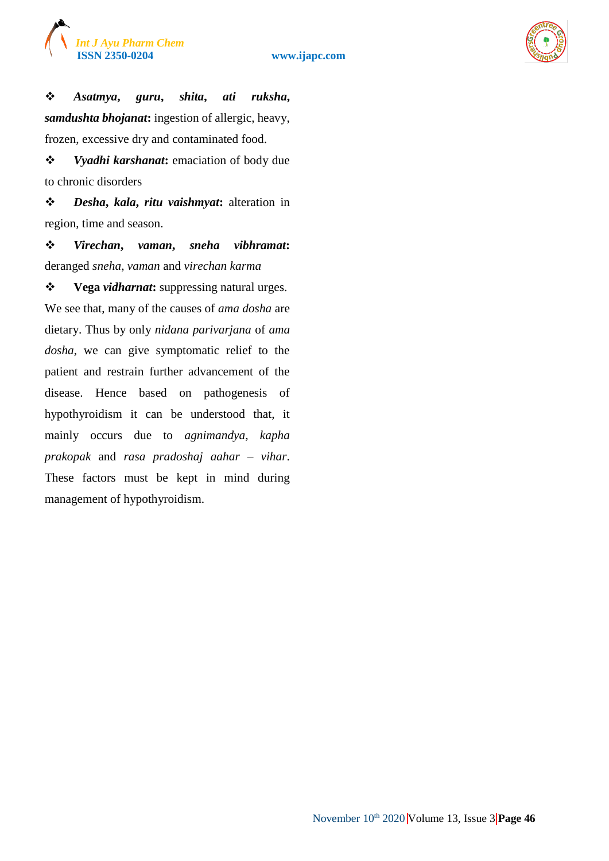

 *Asatmya***,** *guru***,** *shita***,** *ati ruksha***,**  *samdushta bhojanat***:** ingestion of allergic, heavy, frozen, excessive dry and contaminated food.

 *Vyadhi karshanat***:** emaciation of body due to chronic disorders

 *Desha***,** *kala***,** *ritu vaishmyat***:** alteration in region, time and season.

 *Virechan***,** *vaman***,** *sneha vibhramat***:** deranged *sneha*, *vaman* and *virechan karma*

 **Vega** *vidharnat***:** suppressing natural urges. We see that, many of the causes of *ama dosha* are dietary. Thus by only *nidana parivarjana* of *ama dosha*, we can give symptomatic relief to the patient and restrain further advancement of the disease. Hence based on pathogenesis of hypothyroidism it can be understood that, it mainly occurs due to *agnimandya*, *kapha prakopak* and *rasa pradoshaj aahar* – *vihar*. These factors must be kept in mind during management of hypothyroidism.